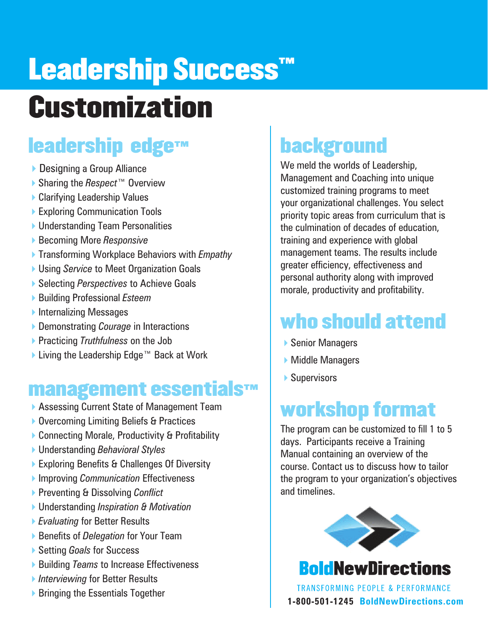# Leadership Success<sup>™</sup> **Customization**

### leadership edge™

- ▶ Designing a Group Alliance
- 4Sharing the *Respect™* Overview
- ▶ Clarifying Leadership Values
- ▶ Exploring Communication Tools
- ▶ Understanding Team Personalities
- **▶ Becoming More Responsive**
- 4Transforming Workplace Behaviors with *Empathy*
- **▶ Using Service to Meet Organization Goals**
- 4Selecting *Perspectives* to Achieve Goals
- 4Building Professional *Esteem*
- $\blacktriangleright$  Internalizing Messages
- ▶ Demonstrating *Courage* in Interactions
- 4Practicing *Truthfulness* on the Job
- ▶ Living the Leadership Edge™ Back at Work

#### management essentials™

- ▶ Assessing Current State of Management Team
- ▶ Overcoming Limiting Beliefs & Practices
- ▶ Connecting Morale, Productivity & Profitability
- 4Understanding *Behavioral Styles*
- ▶ Exploring Benefits & Challenges Of Diversity
- 4Improving *Communication* Effectiveness
- 4Preventing & Dissolving *Conflict*
- 4Understanding *Inspiration & Motivation*
- 4*Evaluating* for Better Results
- 4Benefits of *Delegation* for Your Team
- **▶ Setting** *Goals* for Success
- ▶ Building *Teams* to Increase Effectiveness
- 4*Interviewing* for Better Results
- 

# background

We meld the worlds of Leadership, Management and Coaching into unique customized training programs to meet your organizational challenges. You select priority topic areas from curriculum that is the culmination of decades of education, training and experience with global management teams. The results include greater efficiency, effectiveness and personal authority along with improved morale, productivity and profitability.

## who should attend

- ▶ Senior Managers
- ▶ Middle Managers
- $\blacktriangleright$  Supervisors

#### workshop format

The program can be customized to fill 1 to 5 days. Participants receive a Training Manual containing an overview of the course. Contact us to discuss how to tailor the program to your organization's objectives and timelines.



**Bold NewDirections** 

■ Bringing the Essentials Together **1-800-501-1245 BoldNewDirections.com**